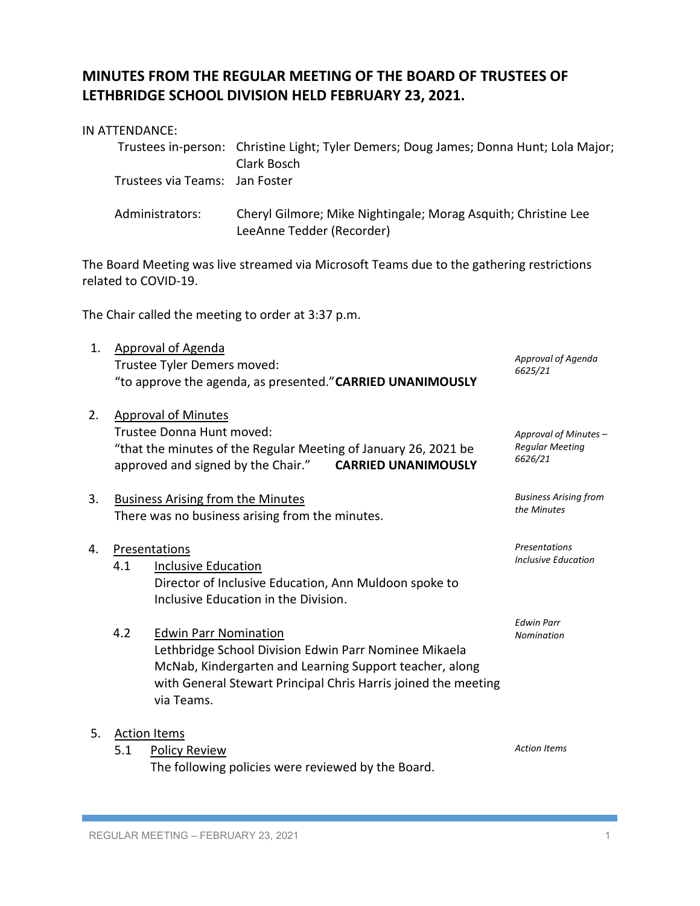## **MINUTES FROM THE REGULAR MEETING OF THE BOARD OF TRUSTEES OF LETHBRIDGE SCHOOL DIVISION HELD FEBRUARY 23, 2021.**

## IN ATTENDANCE:

|                                | Trustees in-person: Christine Light; Tyler Demers; Doug James; Donna Hunt; Lola Major;<br>Clark Bosch |
|--------------------------------|-------------------------------------------------------------------------------------------------------|
| Trustees via Teams: Jan Foster |                                                                                                       |
| Administrators:                | Cheryl Gilmore; Mike Nightingale; Morag Asquith; Christine Lee<br>LeeAnne Tedder (Recorder)           |

The Board Meeting was live streamed via Microsoft Teams due to the gathering restrictions related to COVID-19.

The Chair called the meeting to order at 3:37 p.m.

| 1. | Approval of Agenda<br>Trustee Tyler Demers moved:<br>"to approve the agenda, as presented." CARRIED UNANIMOUSLY | Approval of Agenda<br>6625/21                                                                                                                                                                                                    |                                                            |
|----|-----------------------------------------------------------------------------------------------------------------|----------------------------------------------------------------------------------------------------------------------------------------------------------------------------------------------------------------------------------|------------------------------------------------------------|
| 2. |                                                                                                                 | <b>Approval of Minutes</b><br>Trustee Donna Hunt moved:<br>"that the minutes of the Regular Meeting of January 26, 2021 be<br>approved and signed by the Chair." CARRIED UNANIMOUSLY                                             | Approval of Minutes -<br><b>Regular Meeting</b><br>6626/21 |
| 3. | <b>Business Arising from the Minutes</b><br>There was no business arising from the minutes.                     | <b>Business Arising from</b><br>the Minutes                                                                                                                                                                                      |                                                            |
| 4. | 4.1                                                                                                             | Presentations<br><b>Inclusive Education</b><br>Director of Inclusive Education, Ann Muldoon spoke to<br>Inclusive Education in the Division.                                                                                     | <b>Presentations</b><br><b>Inclusive Education</b>         |
|    | 4.2                                                                                                             | <b>Edwin Parr Nomination</b><br>Lethbridge School Division Edwin Parr Nominee Mikaela<br>McNab, Kindergarten and Learning Support teacher, along<br>with General Stewart Principal Chris Harris joined the meeting<br>via Teams. | <b>Edwin Parr</b><br>Nomination                            |
| 5. | 5.1                                                                                                             | <b>Action Items</b><br><b>Policy Review</b><br>The following policies were reviewed by the Board.                                                                                                                                | <b>Action Items</b>                                        |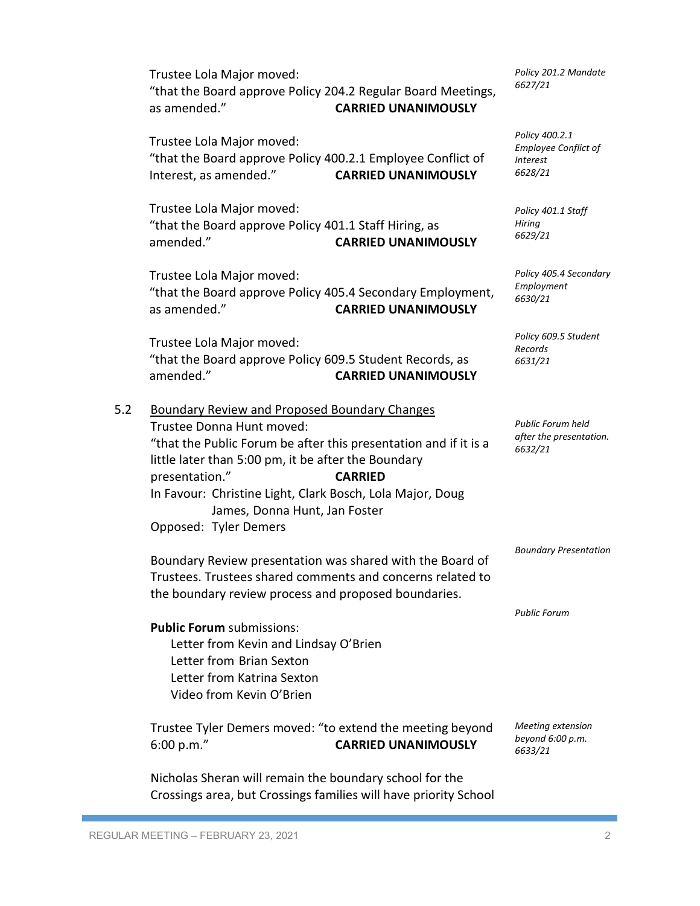"that the Board approve Policy 204.2 Regular Board Meetings, as amended." **CARRIED UNANIMOUSLY** Trustee Lola Major moved: "that the Board approve Policy 400.2.1 Employee Conflict of Interest, as amended." **CARRIED UNANIMOUSLY** Trustee Lola Major moved: "that the Board approve Policy 401.1 Staff Hiring, as amended." **CARRIED UNANIMOUSLY** Trustee Lola Major moved: "that the Board approve Policy 405.4 Secondary Employment, as amended." **CARRIED UNANIMOUSLY** Trustee Lola Major moved: "that the Board approve Policy 609.5 Student Records, as amended." **CARRIED UNANIMOUSLY** 5.2 Boundary Review and Proposed Boundary Changes Trustee Donna Hunt moved: "that the Public Forum be after this presentation and if it is a little later than 5:00 pm, it be after the Boundary presentation." **CARRIED** In Favour: Christine Light, Clark Bosch, Lola Major, Doug James, Donna Hunt, Jan Foster Opposed: Tyler Demers Boundary Review presentation was shared with the Board of Trustees. Trustees shared comments and concerns related to the boundary review process and proposed boundaries. **Public Forum** submissions: Letter from Kevin and Lindsay O'Brien Letter from Brian Sexton Letter from Katrina Sexton Video from Kevin O'Brien Trustee Tyler Demers moved: "to extend the meeting beyond 6:00 p.m." **CARRIED UNANIMOUSLY** Nicholas Sheran will remain the boundary school for the Crossings area, but Crossings families will have priority School

*Policy 201.2 Mandate 6627/21*

*Policy 400.2.1 Employee Conflict of Interest 6628/21*

*Policy 401.1 Staff Hiring 6629/21*

*Policy 405.4 Secondary Employment 6630/21*

*Policy 609.5 Student Records 6631/21*

*Public Forum held after the presentation. 6632/21*

*Boundary Presentation*

*Public Forum*

*Meeting extension beyond 6:00 p.m. 6633/21*

Trustee Lola Major moved: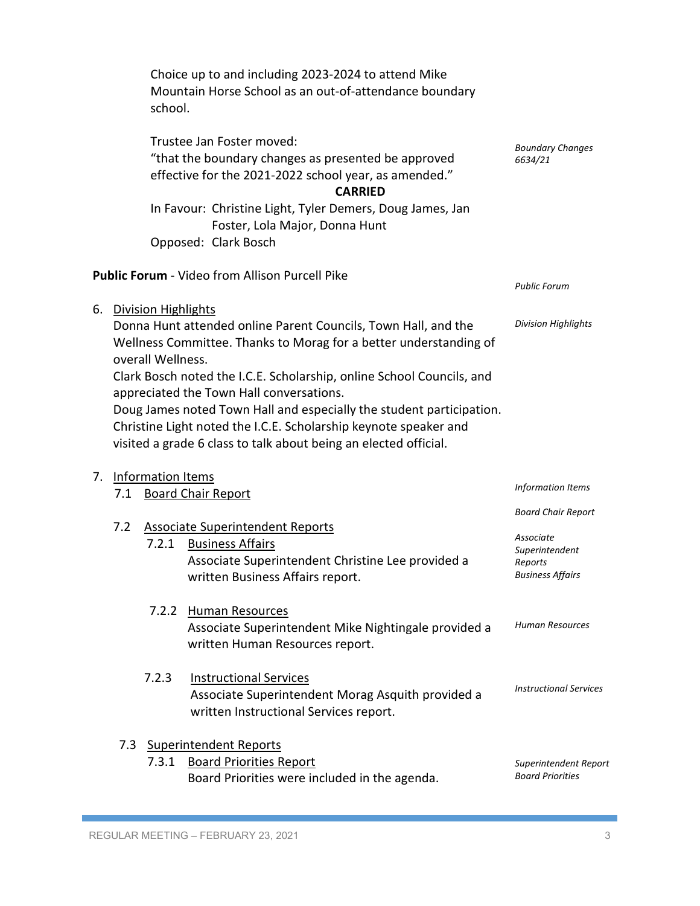Choice up to and including 2023-2024 to attend Mike Mountain Horse School as an out-of-attendance boundary school.

|    |                                                                                                                                                                                                                                                                                                                                                                                                                                                                                                                             | Trustee Jan Foster moved:<br>"that the boundary changes as presented be approved<br>effective for the 2021-2022 school year, as amended." | <b>Boundary Changes</b><br>6634/21                                                                                           |                                                      |
|----|-----------------------------------------------------------------------------------------------------------------------------------------------------------------------------------------------------------------------------------------------------------------------------------------------------------------------------------------------------------------------------------------------------------------------------------------------------------------------------------------------------------------------------|-------------------------------------------------------------------------------------------------------------------------------------------|------------------------------------------------------------------------------------------------------------------------------|------------------------------------------------------|
|    |                                                                                                                                                                                                                                                                                                                                                                                                                                                                                                                             |                                                                                                                                           | In Favour: Christine Light, Tyler Demers, Doug James, Jan<br>Foster, Lola Major, Donna Hunt<br>Opposed: Clark Bosch          |                                                      |
|    | <b>Public Forum</b> - Video from Allison Purcell Pike                                                                                                                                                                                                                                                                                                                                                                                                                                                                       | <b>Public Forum</b>                                                                                                                       |                                                                                                                              |                                                      |
| 6. | <b>Division Highlights</b><br>Donna Hunt attended online Parent Councils, Town Hall, and the<br>Wellness Committee. Thanks to Morag for a better understanding of<br>overall Wellness.<br>Clark Bosch noted the I.C.E. Scholarship, online School Councils, and<br>appreciated the Town Hall conversations.<br>Doug James noted Town Hall and especially the student participation.<br>Christine Light noted the I.C.E. Scholarship keynote speaker and<br>visited a grade 6 class to talk about being an elected official. | <b>Division Highlights</b>                                                                                                                |                                                                                                                              |                                                      |
| 7. | 7.1                                                                                                                                                                                                                                                                                                                                                                                                                                                                                                                         | <b>Information Items</b>                                                                                                                  | <b>Board Chair Report</b>                                                                                                    | Information Items                                    |
|    | 7.2                                                                                                                                                                                                                                                                                                                                                                                                                                                                                                                         | 7.2.1                                                                                                                                     | <b>Associate Superintendent Reports</b><br><b>Business Affairs</b>                                                           | <b>Board Chair Report</b><br>Associate               |
|    |                                                                                                                                                                                                                                                                                                                                                                                                                                                                                                                             |                                                                                                                                           | Associate Superintendent Christine Lee provided a<br>written Business Affairs report.                                        | Superintendent<br>Reports<br><b>Business Affairs</b> |
|    |                                                                                                                                                                                                                                                                                                                                                                                                                                                                                                                             | 7.2.2                                                                                                                                     | <b>Human Resources</b><br>Associate Superintendent Mike Nightingale provided a<br>written Human Resources report.            | <b>Human Resources</b>                               |
|    |                                                                                                                                                                                                                                                                                                                                                                                                                                                                                                                             | 7.2.3                                                                                                                                     | <b>Instructional Services</b><br>Associate Superintendent Morag Asquith provided a<br>written Instructional Services report. | <b>Instructional Services</b>                        |